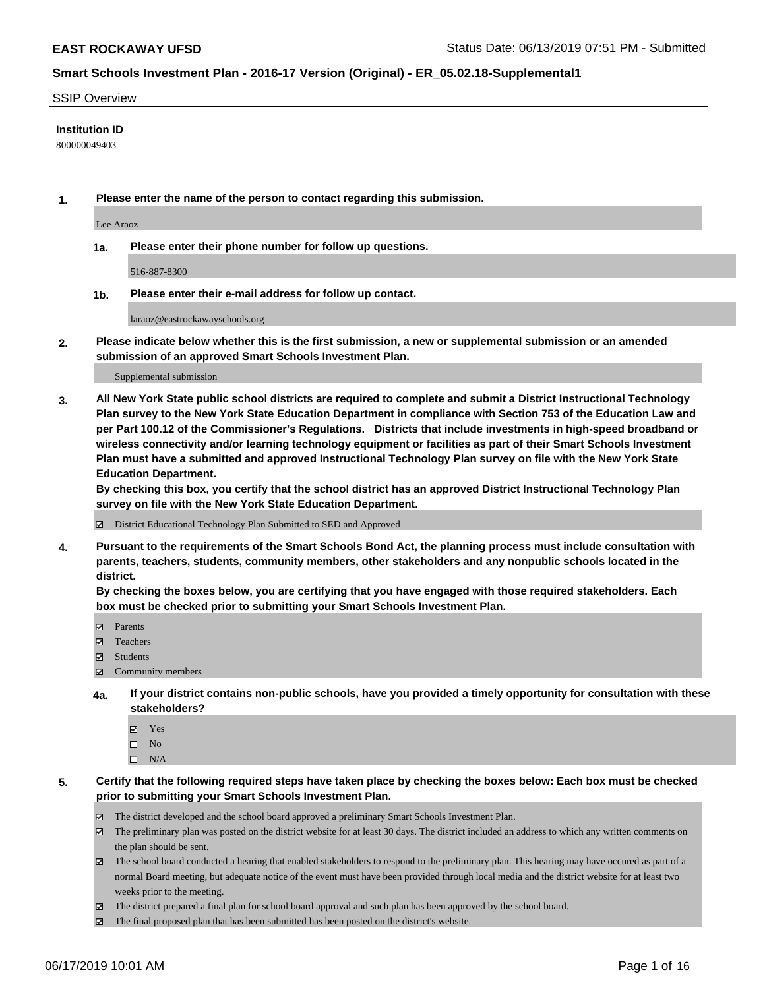#### SSIP Overview

### **Institution ID**

800000049403

**1. Please enter the name of the person to contact regarding this submission.**

Lee Araoz

**1a. Please enter their phone number for follow up questions.**

516-887-8300

**1b. Please enter their e-mail address for follow up contact.**

laraoz@eastrockawayschools.org

**2. Please indicate below whether this is the first submission, a new or supplemental submission or an amended submission of an approved Smart Schools Investment Plan.**

#### Supplemental submission

**3. All New York State public school districts are required to complete and submit a District Instructional Technology Plan survey to the New York State Education Department in compliance with Section 753 of the Education Law and per Part 100.12 of the Commissioner's Regulations. Districts that include investments in high-speed broadband or wireless connectivity and/or learning technology equipment or facilities as part of their Smart Schools Investment Plan must have a submitted and approved Instructional Technology Plan survey on file with the New York State Education Department.** 

**By checking this box, you certify that the school district has an approved District Instructional Technology Plan survey on file with the New York State Education Department.**

District Educational Technology Plan Submitted to SED and Approved

**4. Pursuant to the requirements of the Smart Schools Bond Act, the planning process must include consultation with parents, teachers, students, community members, other stakeholders and any nonpublic schools located in the district.** 

**By checking the boxes below, you are certifying that you have engaged with those required stakeholders. Each box must be checked prior to submitting your Smart Schools Investment Plan.**

- Parents
- Teachers
- Students
- Community members
- **4a. If your district contains non-public schools, have you provided a timely opportunity for consultation with these stakeholders?**
	- Yes
	- $\square$  No
	- $\square$  N/A
- **5. Certify that the following required steps have taken place by checking the boxes below: Each box must be checked prior to submitting your Smart Schools Investment Plan.**
	- The district developed and the school board approved a preliminary Smart Schools Investment Plan.
	- $\boxtimes$  The preliminary plan was posted on the district website for at least 30 days. The district included an address to which any written comments on the plan should be sent.
	- $\boxtimes$  The school board conducted a hearing that enabled stakeholders to respond to the preliminary plan. This hearing may have occured as part of a normal Board meeting, but adequate notice of the event must have been provided through local media and the district website for at least two weeks prior to the meeting.
	- The district prepared a final plan for school board approval and such plan has been approved by the school board.
	- $\boxtimes$  The final proposed plan that has been submitted has been posted on the district's website.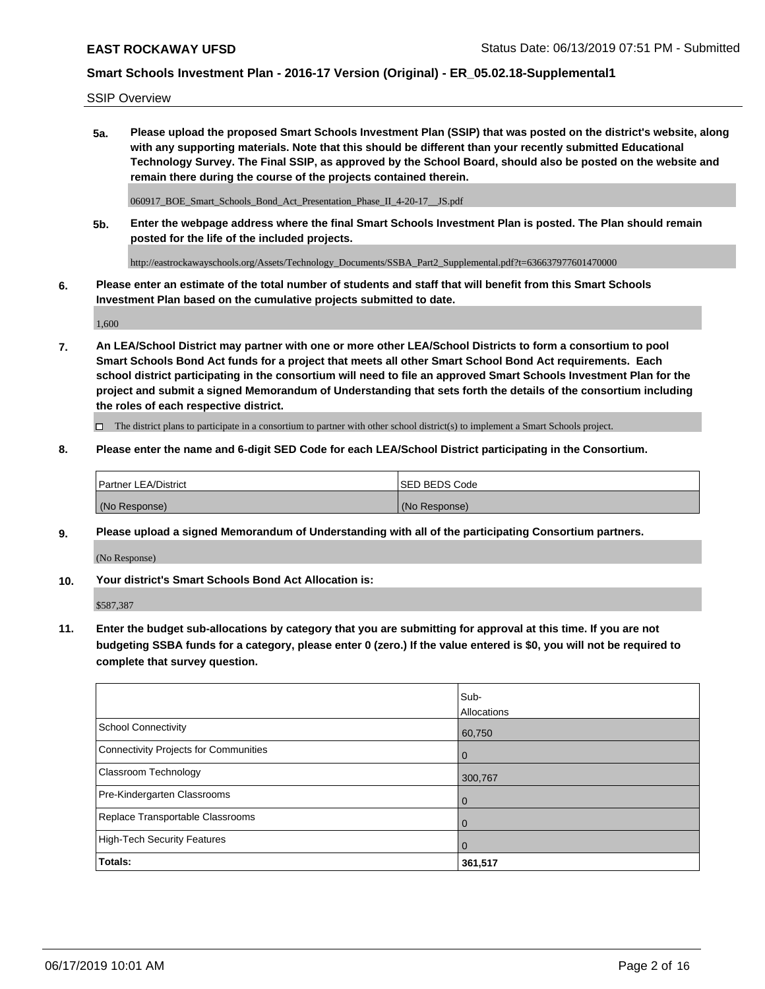SSIP Overview

**5a. Please upload the proposed Smart Schools Investment Plan (SSIP) that was posted on the district's website, along with any supporting materials. Note that this should be different than your recently submitted Educational Technology Survey. The Final SSIP, as approved by the School Board, should also be posted on the website and remain there during the course of the projects contained therein.**

060917\_BOE\_Smart\_Schools\_Bond\_Act\_Presentation\_Phase\_II\_4-20-17\_\_JS.pdf

**5b. Enter the webpage address where the final Smart Schools Investment Plan is posted. The Plan should remain posted for the life of the included projects.**

http://eastrockawayschools.org/Assets/Technology\_Documents/SSBA\_Part2\_Supplemental.pdf?t=636637977601470000

**6. Please enter an estimate of the total number of students and staff that will benefit from this Smart Schools Investment Plan based on the cumulative projects submitted to date.**

1,600

**7. An LEA/School District may partner with one or more other LEA/School Districts to form a consortium to pool Smart Schools Bond Act funds for a project that meets all other Smart School Bond Act requirements. Each school district participating in the consortium will need to file an approved Smart Schools Investment Plan for the project and submit a signed Memorandum of Understanding that sets forth the details of the consortium including the roles of each respective district.**

 $\Box$  The district plans to participate in a consortium to partner with other school district(s) to implement a Smart Schools project.

### **8. Please enter the name and 6-digit SED Code for each LEA/School District participating in the Consortium.**

| <b>Partner LEA/District</b> | <b>ISED BEDS Code</b> |
|-----------------------------|-----------------------|
| (No Response)               | (No Response)         |

#### **9. Please upload a signed Memorandum of Understanding with all of the participating Consortium partners.**

(No Response)

**10. Your district's Smart Schools Bond Act Allocation is:**

\$587,387

**11. Enter the budget sub-allocations by category that you are submitting for approval at this time. If you are not budgeting SSBA funds for a category, please enter 0 (zero.) If the value entered is \$0, you will not be required to complete that survey question.**

|                                       | Sub-<br>Allocations |
|---------------------------------------|---------------------|
| School Connectivity                   | 60,750              |
| Connectivity Projects for Communities | $\overline{0}$      |
| <b>Classroom Technology</b>           | 300,767             |
| Pre-Kindergarten Classrooms           | $\overline{0}$      |
| Replace Transportable Classrooms      | $\Omega$            |
| High-Tech Security Features           | $\Omega$            |
| Totals:                               | 361,517             |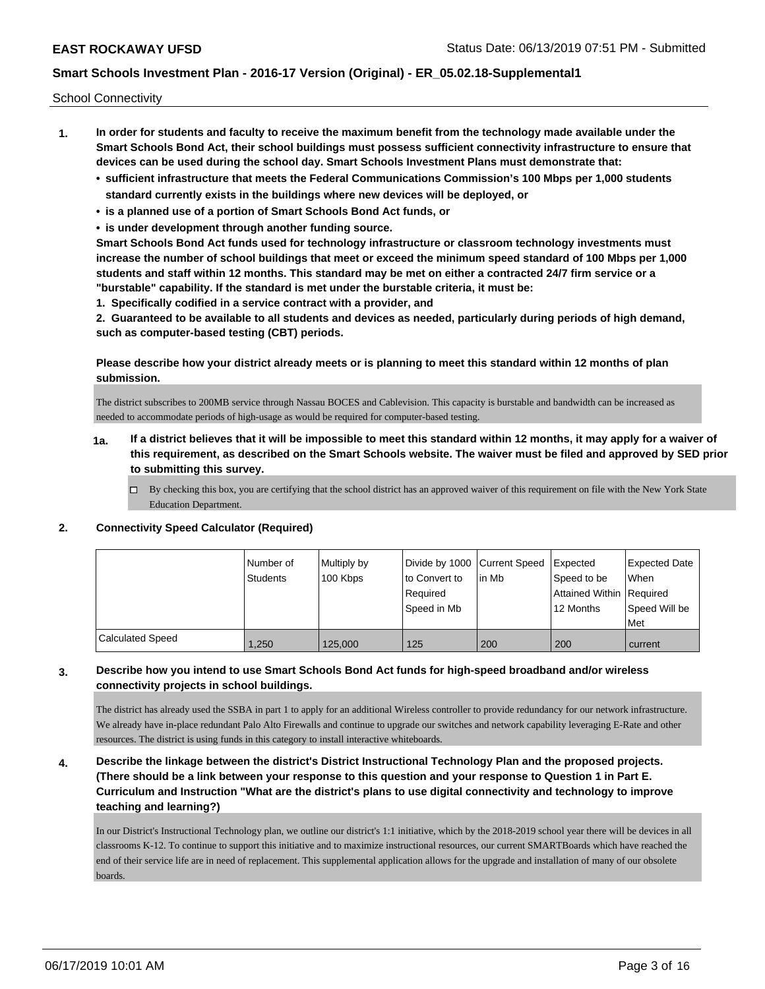School Connectivity

- **1. In order for students and faculty to receive the maximum benefit from the technology made available under the Smart Schools Bond Act, their school buildings must possess sufficient connectivity infrastructure to ensure that devices can be used during the school day. Smart Schools Investment Plans must demonstrate that:**
	- **• sufficient infrastructure that meets the Federal Communications Commission's 100 Mbps per 1,000 students standard currently exists in the buildings where new devices will be deployed, or**
	- **• is a planned use of a portion of Smart Schools Bond Act funds, or**
	- **• is under development through another funding source.**

**Smart Schools Bond Act funds used for technology infrastructure or classroom technology investments must increase the number of school buildings that meet or exceed the minimum speed standard of 100 Mbps per 1,000 students and staff within 12 months. This standard may be met on either a contracted 24/7 firm service or a "burstable" capability. If the standard is met under the burstable criteria, it must be:**

**1. Specifically codified in a service contract with a provider, and**

**2. Guaranteed to be available to all students and devices as needed, particularly during periods of high demand, such as computer-based testing (CBT) periods.**

**Please describe how your district already meets or is planning to meet this standard within 12 months of plan submission.**

The district subscribes to 200MB service through Nassau BOCES and Cablevision. This capacity is burstable and bandwidth can be increased as needed to accommodate periods of high-usage as would be required for computer-based testing.

- **1a. If a district believes that it will be impossible to meet this standard within 12 months, it may apply for a waiver of this requirement, as described on the Smart Schools website. The waiver must be filed and approved by SED prior to submitting this survey.**
	- $\Box$  By checking this box, you are certifying that the school district has an approved waiver of this requirement on file with the New York State Education Department.

### **2. Connectivity Speed Calculator (Required)**

|                  | I Number of<br><b>Students</b> | Multiply by<br>100 Kbps | Divide by 1000 Current Speed<br>to Convert to<br>Required<br>Speed in Mb | l in Mb | Expected<br>Speed to be<br>Attained Within   Required<br>12 Months | <b>Expected Date</b><br><b>When</b><br>Speed Will be<br>Met |
|------------------|--------------------------------|-------------------------|--------------------------------------------------------------------------|---------|--------------------------------------------------------------------|-------------------------------------------------------------|
| Calculated Speed | 1,250                          | 125,000                 | 125                                                                      | 200     | 200                                                                | current                                                     |

### **3. Describe how you intend to use Smart Schools Bond Act funds for high-speed broadband and/or wireless connectivity projects in school buildings.**

The district has already used the SSBA in part 1 to apply for an additional Wireless controller to provide redundancy for our network infrastructure. We already have in-place redundant Palo Alto Firewalls and continue to upgrade our switches and network capability leveraging E-Rate and other resources. The district is using funds in this category to install interactive whiteboards.

**4. Describe the linkage between the district's District Instructional Technology Plan and the proposed projects. (There should be a link between your response to this question and your response to Question 1 in Part E. Curriculum and Instruction "What are the district's plans to use digital connectivity and technology to improve teaching and learning?)**

In our District's Instructional Technology plan, we outline our district's 1:1 initiative, which by the 2018-2019 school year there will be devices in all classrooms K-12. To continue to support this initiative and to maximize instructional resources, our current SMARTBoards which have reached the end of their service life are in need of replacement. This supplemental application allows for the upgrade and installation of many of our obsolete boards.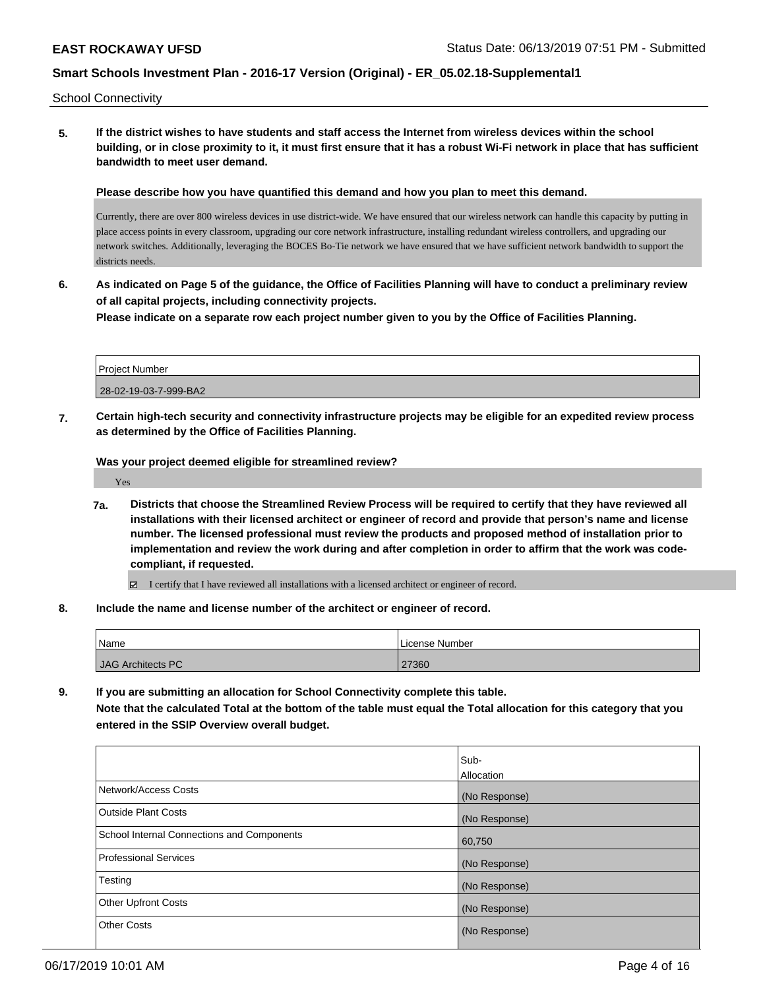School Connectivity

**5. If the district wishes to have students and staff access the Internet from wireless devices within the school building, or in close proximity to it, it must first ensure that it has a robust Wi-Fi network in place that has sufficient bandwidth to meet user demand.**

**Please describe how you have quantified this demand and how you plan to meet this demand.**

Currently, there are over 800 wireless devices in use district-wide. We have ensured that our wireless network can handle this capacity by putting in place access points in every classroom, upgrading our core network infrastructure, installing redundant wireless controllers, and upgrading our network switches. Additionally, leveraging the BOCES Bo-Tie network we have ensured that we have sufficient network bandwidth to support the districts needs.

**6. As indicated on Page 5 of the guidance, the Office of Facilities Planning will have to conduct a preliminary review of all capital projects, including connectivity projects.**

**Please indicate on a separate row each project number given to you by the Office of Facilities Planning.**

| Project Number        |  |
|-----------------------|--|
| 28-02-19-03-7-999-BA2 |  |

**7. Certain high-tech security and connectivity infrastructure projects may be eligible for an expedited review process as determined by the Office of Facilities Planning.**

**Was your project deemed eligible for streamlined review?**

Yes

**7a. Districts that choose the Streamlined Review Process will be required to certify that they have reviewed all installations with their licensed architect or engineer of record and provide that person's name and license number. The licensed professional must review the products and proposed method of installation prior to implementation and review the work during and after completion in order to affirm that the work was codecompliant, if requested.**

 $\boxdot$  I certify that I have reviewed all installations with a licensed architect or engineer of record.

**8. Include the name and license number of the architect or engineer of record.**

| 'Name             | License Number . |
|-------------------|------------------|
| JAG Architects PC | 27360            |

**9. If you are submitting an allocation for School Connectivity complete this table.**

**Note that the calculated Total at the bottom of the table must equal the Total allocation for this category that you entered in the SSIP Overview overall budget.** 

|                                                   | Sub-          |
|---------------------------------------------------|---------------|
|                                                   | Allocation    |
| Network/Access Costs                              | (No Response) |
| <b>Outside Plant Costs</b>                        | (No Response) |
| <b>School Internal Connections and Components</b> | 60,750        |
| <b>Professional Services</b>                      | (No Response) |
| Testing                                           | (No Response) |
| <b>Other Upfront Costs</b>                        | (No Response) |
| <b>Other Costs</b>                                | (No Response) |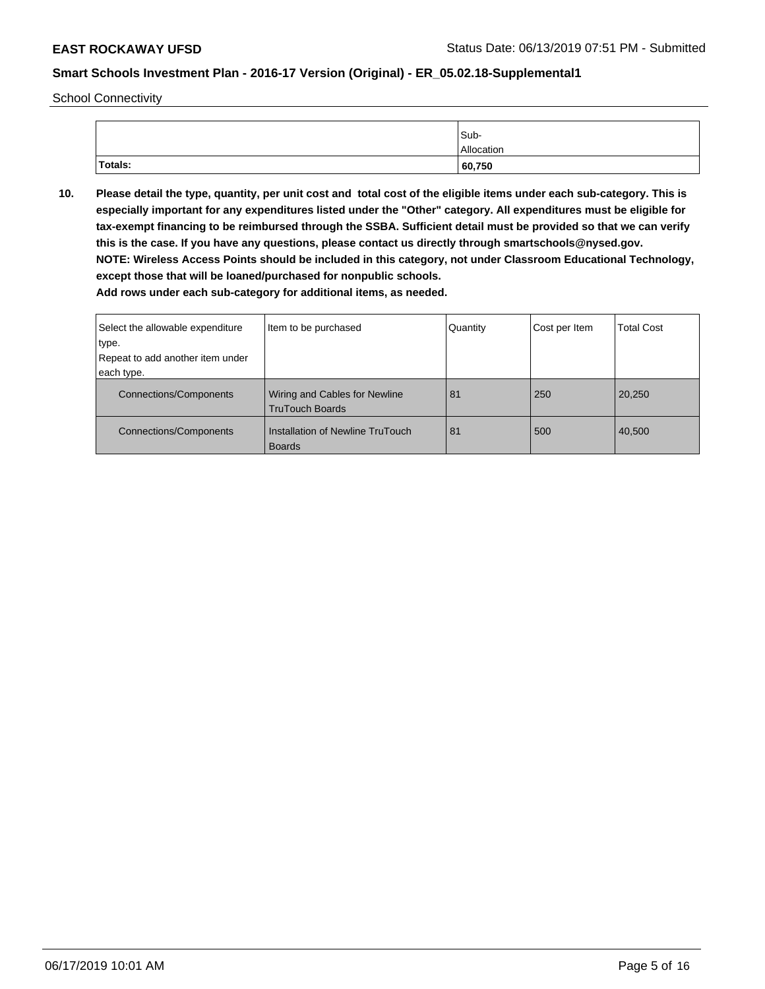School Connectivity

|         | Sub-       |
|---------|------------|
|         | Allocation |
| Totals: | 60,750     |

**10. Please detail the type, quantity, per unit cost and total cost of the eligible items under each sub-category. This is especially important for any expenditures listed under the "Other" category. All expenditures must be eligible for tax-exempt financing to be reimbursed through the SSBA. Sufficient detail must be provided so that we can verify this is the case. If you have any questions, please contact us directly through smartschools@nysed.gov. NOTE: Wireless Access Points should be included in this category, not under Classroom Educational Technology, except those that will be loaned/purchased for nonpublic schools.**

| Select the allowable expenditure | Item to be purchased                                           | Quantity | Cost per Item | <b>Total Cost</b> |
|----------------------------------|----------------------------------------------------------------|----------|---------------|-------------------|
| type.                            |                                                                |          |               |                   |
| Repeat to add another item under |                                                                |          |               |                   |
| each type.                       |                                                                |          |               |                   |
| <b>Connections/Components</b>    | <b>Wiring and Cables for Newline</b><br><b>TruTouch Boards</b> | 81       | 250           | 20,250            |
| Connections/Components           | Installation of Newline TruTouch<br><b>Boards</b>              | 81       | 500           | 40,500            |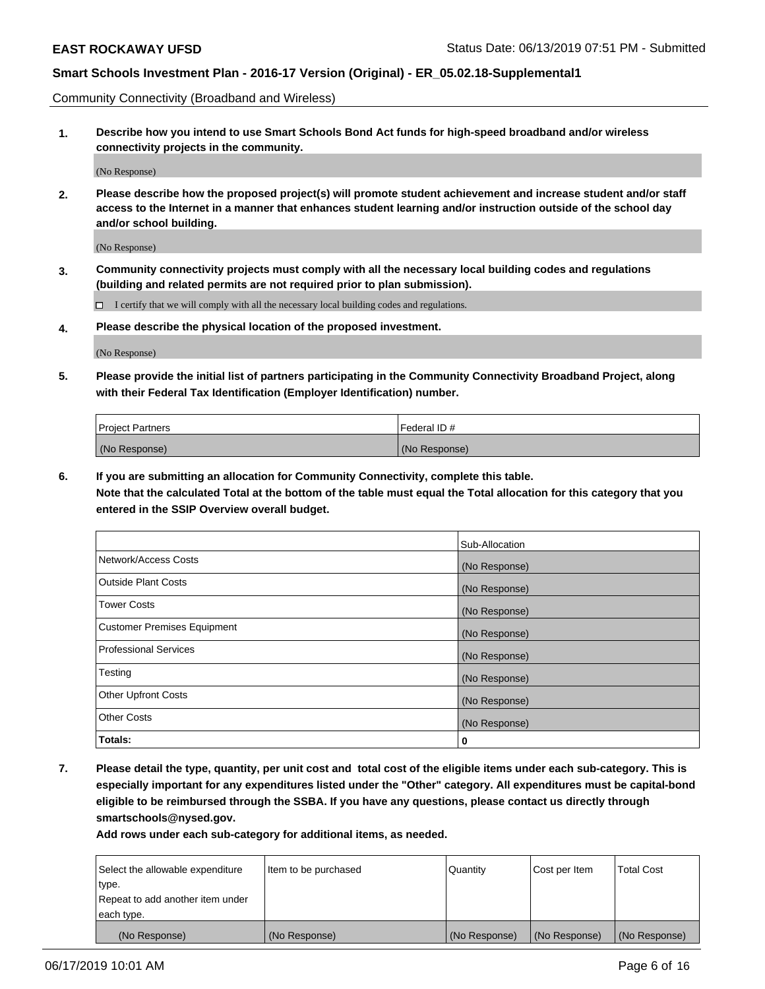Community Connectivity (Broadband and Wireless)

**1. Describe how you intend to use Smart Schools Bond Act funds for high-speed broadband and/or wireless connectivity projects in the community.**

(No Response)

**2. Please describe how the proposed project(s) will promote student achievement and increase student and/or staff access to the Internet in a manner that enhances student learning and/or instruction outside of the school day and/or school building.**

(No Response)

**3. Community connectivity projects must comply with all the necessary local building codes and regulations (building and related permits are not required prior to plan submission).**

 $\Box$  I certify that we will comply with all the necessary local building codes and regulations.

**4. Please describe the physical location of the proposed investment.**

(No Response)

**5. Please provide the initial list of partners participating in the Community Connectivity Broadband Project, along with their Federal Tax Identification (Employer Identification) number.**

| <b>Project Partners</b> | l Federal ID # |
|-------------------------|----------------|
| (No Response)           | (No Response)  |

**6. If you are submitting an allocation for Community Connectivity, complete this table.**

**Note that the calculated Total at the bottom of the table must equal the Total allocation for this category that you entered in the SSIP Overview overall budget.**

|                                    | Sub-Allocation |
|------------------------------------|----------------|
| Network/Access Costs               | (No Response)  |
| <b>Outside Plant Costs</b>         | (No Response)  |
| <b>Tower Costs</b>                 | (No Response)  |
| <b>Customer Premises Equipment</b> | (No Response)  |
| <b>Professional Services</b>       | (No Response)  |
| Testing                            | (No Response)  |
| <b>Other Upfront Costs</b>         | (No Response)  |
| <b>Other Costs</b>                 | (No Response)  |
| Totals:                            | 0              |

**7. Please detail the type, quantity, per unit cost and total cost of the eligible items under each sub-category. This is especially important for any expenditures listed under the "Other" category. All expenditures must be capital-bond eligible to be reimbursed through the SSBA. If you have any questions, please contact us directly through smartschools@nysed.gov.**

| Select the allowable expenditure | Item to be purchased | Quantity      | Cost per Item | <b>Total Cost</b> |
|----------------------------------|----------------------|---------------|---------------|-------------------|
| type.                            |                      |               |               |                   |
| Repeat to add another item under |                      |               |               |                   |
| each type.                       |                      |               |               |                   |
| (No Response)                    | (No Response)        | (No Response) | (No Response) | (No Response)     |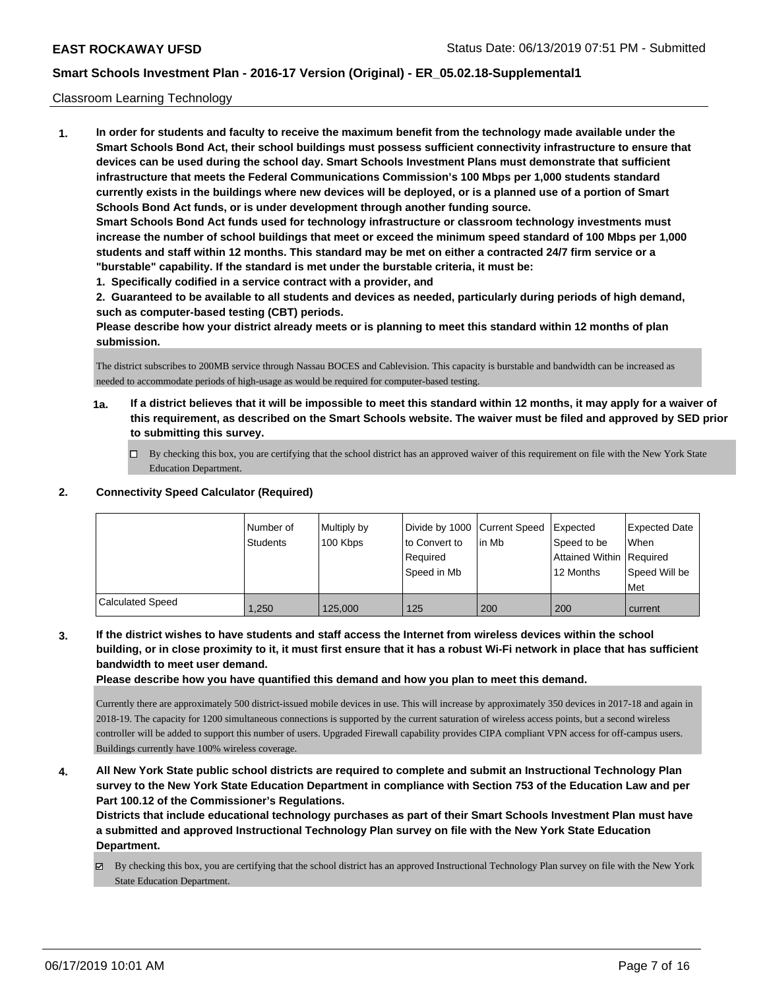#### Classroom Learning Technology

**1. In order for students and faculty to receive the maximum benefit from the technology made available under the Smart Schools Bond Act, their school buildings must possess sufficient connectivity infrastructure to ensure that devices can be used during the school day. Smart Schools Investment Plans must demonstrate that sufficient infrastructure that meets the Federal Communications Commission's 100 Mbps per 1,000 students standard currently exists in the buildings where new devices will be deployed, or is a planned use of a portion of Smart Schools Bond Act funds, or is under development through another funding source. Smart Schools Bond Act funds used for technology infrastructure or classroom technology investments must increase the number of school buildings that meet or exceed the minimum speed standard of 100 Mbps per 1,000 students and staff within 12 months. This standard may be met on either a contracted 24/7 firm service or a "burstable" capability. If the standard is met under the burstable criteria, it must be:**

**1. Specifically codified in a service contract with a provider, and**

**2. Guaranteed to be available to all students and devices as needed, particularly during periods of high demand, such as computer-based testing (CBT) periods.**

**Please describe how your district already meets or is planning to meet this standard within 12 months of plan submission.**

The district subscribes to 200MB service through Nassau BOCES and Cablevision. This capacity is burstable and bandwidth can be increased as needed to accommodate periods of high-usage as would be required for computer-based testing.

- **1a. If a district believes that it will be impossible to meet this standard within 12 months, it may apply for a waiver of this requirement, as described on the Smart Schools website. The waiver must be filed and approved by SED prior to submitting this survey.**
	- By checking this box, you are certifying that the school district has an approved waiver of this requirement on file with the New York State Education Department.

### **2. Connectivity Speed Calculator (Required)**

|                         | Number of | Multiply by | Divide by 1000 Current Speed |        | Expected                 | Expected Date |
|-------------------------|-----------|-------------|------------------------------|--------|--------------------------|---------------|
|                         | Students  | 100 Kbps    | to Convert to                | lin Mb | Speed to be              | <b>When</b>   |
|                         |           |             | Reauired                     |        | Attained Within Required |               |
|                         |           |             | Speed in Mb                  |        | 12 Months                | Speed Will be |
|                         |           |             |                              |        |                          | Met           |
| <b>Calculated Speed</b> | 1.250     | 125,000     | 125                          | 200    | 200                      | current       |

**3. If the district wishes to have students and staff access the Internet from wireless devices within the school building, or in close proximity to it, it must first ensure that it has a robust Wi-Fi network in place that has sufficient bandwidth to meet user demand.**

**Please describe how you have quantified this demand and how you plan to meet this demand.**

Currently there are approximately 500 district-issued mobile devices in use. This will increase by approximately 350 devices in 2017-18 and again in 2018-19. The capacity for 1200 simultaneous connections is supported by the current saturation of wireless access points, but a second wireless controller will be added to support this number of users. Upgraded Firewall capability provides CIPA compliant VPN access for off-campus users. Buildings currently have 100% wireless coverage.

**4. All New York State public school districts are required to complete and submit an Instructional Technology Plan survey to the New York State Education Department in compliance with Section 753 of the Education Law and per Part 100.12 of the Commissioner's Regulations.**

**Districts that include educational technology purchases as part of their Smart Schools Investment Plan must have a submitted and approved Instructional Technology Plan survey on file with the New York State Education Department.**

By checking this box, you are certifying that the school district has an approved Instructional Technology Plan survey on file with the New York State Education Department.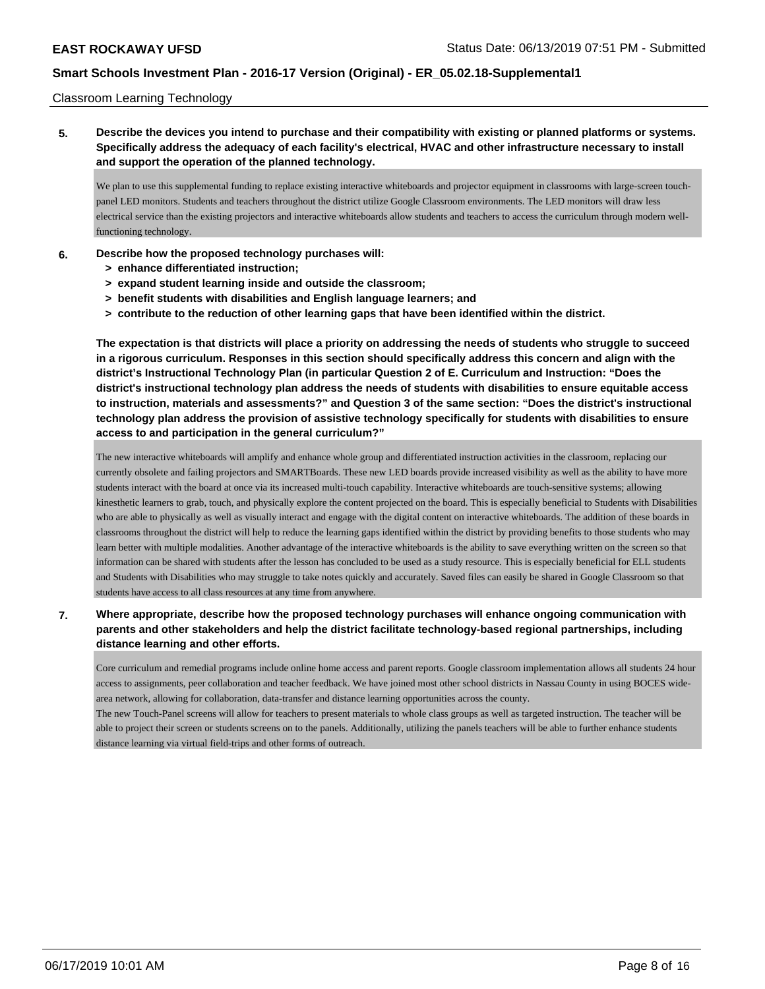#### Classroom Learning Technology

**5. Describe the devices you intend to purchase and their compatibility with existing or planned platforms or systems. Specifically address the adequacy of each facility's electrical, HVAC and other infrastructure necessary to install and support the operation of the planned technology.**

We plan to use this supplemental funding to replace existing interactive whiteboards and projector equipment in classrooms with large-screen touchpanel LED monitors. Students and teachers throughout the district utilize Google Classroom environments. The LED monitors will draw less electrical service than the existing projectors and interactive whiteboards allow students and teachers to access the curriculum through modern wellfunctioning technology.

- **6. Describe how the proposed technology purchases will:**
	- **> enhance differentiated instruction;**
	- **> expand student learning inside and outside the classroom;**
	- **> benefit students with disabilities and English language learners; and**
	- **> contribute to the reduction of other learning gaps that have been identified within the district.**

**The expectation is that districts will place a priority on addressing the needs of students who struggle to succeed in a rigorous curriculum. Responses in this section should specifically address this concern and align with the district's Instructional Technology Plan (in particular Question 2 of E. Curriculum and Instruction: "Does the district's instructional technology plan address the needs of students with disabilities to ensure equitable access to instruction, materials and assessments?" and Question 3 of the same section: "Does the district's instructional technology plan address the provision of assistive technology specifically for students with disabilities to ensure access to and participation in the general curriculum?"**

The new interactive whiteboards will amplify and enhance whole group and differentiated instruction activities in the classroom, replacing our currently obsolete and failing projectors and SMARTBoards. These new LED boards provide increased visibility as well as the ability to have more students interact with the board at once via its increased multi-touch capability. Interactive whiteboards are touch-sensitive systems; allowing kinesthetic learners to grab, touch, and physically explore the content projected on the board. This is especially beneficial to Students with Disabilities who are able to physically as well as visually interact and engage with the digital content on interactive whiteboards. The addition of these boards in classrooms throughout the district will help to reduce the learning gaps identified within the district by providing benefits to those students who may learn better with multiple modalities. Another advantage of the interactive whiteboards is the ability to save everything written on the screen so that information can be shared with students after the lesson has concluded to be used as a study resource. This is especially beneficial for ELL students and Students with Disabilities who may struggle to take notes quickly and accurately. Saved files can easily be shared in Google Classroom so that students have access to all class resources at any time from anywhere.

**7. Where appropriate, describe how the proposed technology purchases will enhance ongoing communication with parents and other stakeholders and help the district facilitate technology-based regional partnerships, including distance learning and other efforts.**

Core curriculum and remedial programs include online home access and parent reports. Google classroom implementation allows all students 24 hour access to assignments, peer collaboration and teacher feedback. We have joined most other school districts in Nassau County in using BOCES widearea network, allowing for collaboration, data-transfer and distance learning opportunities across the county.

The new Touch-Panel screens will allow for teachers to present materials to whole class groups as well as targeted instruction. The teacher will be able to project their screen or students screens on to the panels. Additionally, utilizing the panels teachers will be able to further enhance students distance learning via virtual field-trips and other forms of outreach.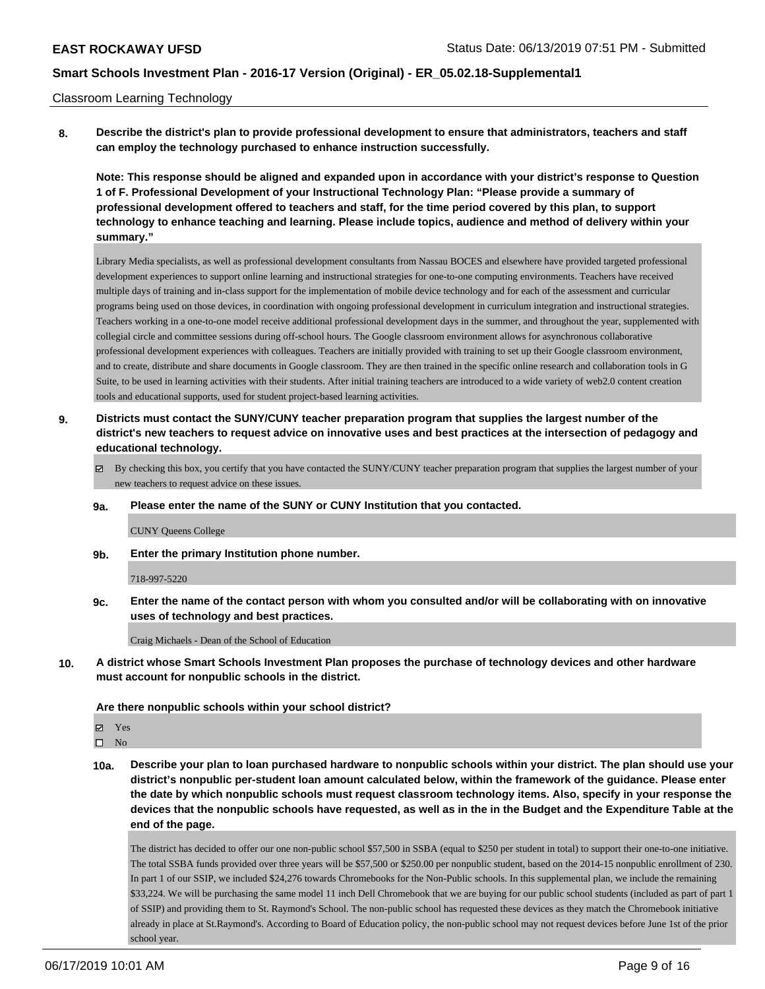#### Classroom Learning Technology

**8. Describe the district's plan to provide professional development to ensure that administrators, teachers and staff can employ the technology purchased to enhance instruction successfully.**

**Note: This response should be aligned and expanded upon in accordance with your district's response to Question 1 of F. Professional Development of your Instructional Technology Plan: "Please provide a summary of professional development offered to teachers and staff, for the time period covered by this plan, to support technology to enhance teaching and learning. Please include topics, audience and method of delivery within your summary."**

Library Media specialists, as well as professional development consultants from Nassau BOCES and elsewhere have provided targeted professional development experiences to support online learning and instructional strategies for one-to-one computing environments. Teachers have received multiple days of training and in-class support for the implementation of mobile device technology and for each of the assessment and curricular programs being used on those devices, in coordination with ongoing professional development in curriculum integration and instructional strategies. Teachers working in a one-to-one model receive additional professional development days in the summer, and throughout the year, supplemented with collegial circle and committee sessions during off-school hours. The Google classroom environment allows for asynchronous collaborative professional development experiences with colleagues. Teachers are initially provided with training to set up their Google classroom environment, and to create, distribute and share documents in Google classroom. They are then trained in the specific online research and collaboration tools in G Suite, to be used in learning activities with their students. After initial training teachers are introduced to a wide variety of web2.0 content creation tools and educational supports, used for student project-based learning activities.

- **9. Districts must contact the SUNY/CUNY teacher preparation program that supplies the largest number of the district's new teachers to request advice on innovative uses and best practices at the intersection of pedagogy and educational technology.**
	- By checking this box, you certify that you have contacted the SUNY/CUNY teacher preparation program that supplies the largest number of your new teachers to request advice on these issues.

#### **9a. Please enter the name of the SUNY or CUNY Institution that you contacted.**

#### CUNY Queens College

**9b. Enter the primary Institution phone number.**

#### 718-997-5220

**9c. Enter the name of the contact person with whom you consulted and/or will be collaborating with on innovative uses of technology and best practices.**

Craig Michaels - Dean of the School of Education

**10. A district whose Smart Schools Investment Plan proposes the purchase of technology devices and other hardware must account for nonpublic schools in the district.**

#### **Are there nonpublic schools within your school district?**

Yes

 $\square$  No

**10a. Describe your plan to loan purchased hardware to nonpublic schools within your district. The plan should use your district's nonpublic per-student loan amount calculated below, within the framework of the guidance. Please enter the date by which nonpublic schools must request classroom technology items. Also, specify in your response the devices that the nonpublic schools have requested, as well as in the in the Budget and the Expenditure Table at the end of the page.**

The district has decided to offer our one non-public school \$57,500 in SSBA (equal to \$250 per student in total) to support their one-to-one initiative. The total SSBA funds provided over three years will be \$57,500 or \$250.00 per nonpublic student, based on the 2014-15 nonpublic enrollment of 230. In part 1 of our SSIP, we included \$24,276 towards Chromebooks for the Non-Public schools. In this supplemental plan, we include the remaining \$33,224. We will be purchasing the same model 11 inch Dell Chromebook that we are buying for our public school students (included as part of part 1 of SSIP) and providing them to St. Raymond's School. The non-public school has requested these devices as they match the Chromebook initiative already in place at St.Raymond's. According to Board of Education policy, the non-public school may not request devices before June 1st of the prior school year.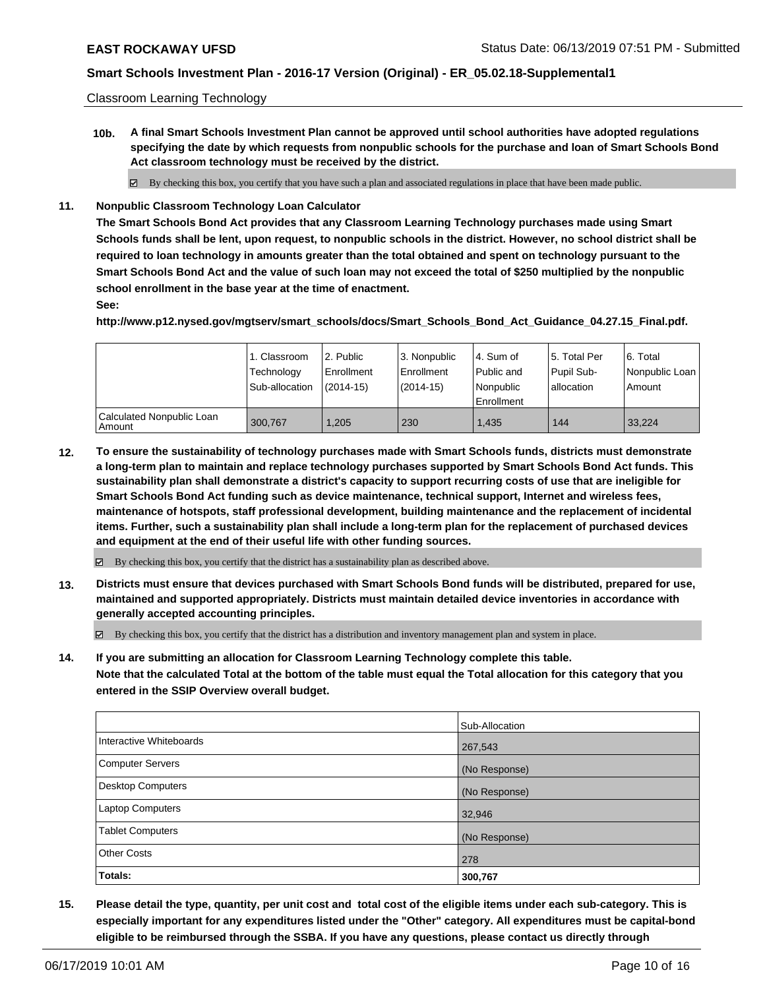Classroom Learning Technology

**10b. A final Smart Schools Investment Plan cannot be approved until school authorities have adopted regulations specifying the date by which requests from nonpublic schools for the purchase and loan of Smart Schools Bond Act classroom technology must be received by the district.**

By checking this box, you certify that you have such a plan and associated regulations in place that have been made public.

**11. Nonpublic Classroom Technology Loan Calculator**

**The Smart Schools Bond Act provides that any Classroom Learning Technology purchases made using Smart Schools funds shall be lent, upon request, to nonpublic schools in the district. However, no school district shall be required to loan technology in amounts greater than the total obtained and spent on technology pursuant to the Smart Schools Bond Act and the value of such loan may not exceed the total of \$250 multiplied by the nonpublic school enrollment in the base year at the time of enactment.**

### **See:**

**http://www.p12.nysed.gov/mgtserv/smart\_schools/docs/Smart\_Schools\_Bond\_Act\_Guidance\_04.27.15\_Final.pdf.**

|                                       | 1. Classroom<br>Technology<br>Sub-allocation | l 2. Public<br>l Enrollment<br>$(2014 - 15)$ | l 3. Nonpublic<br>Enrollment<br>$(2014-15)$ | l 4. Sum of<br>Public and<br>l Nonpublic<br>Enrollment | 15. Total Per<br>Pupil Sub-<br>allocation | l 6. Total<br>  Nonpublic Loan  <br>l Amount |
|---------------------------------------|----------------------------------------------|----------------------------------------------|---------------------------------------------|--------------------------------------------------------|-------------------------------------------|----------------------------------------------|
| Calculated Nonpublic Loan<br>l Amount | 300.767                                      | 1.205                                        | 230                                         | 1.435                                                  | 144                                       | 33.224                                       |

**12. To ensure the sustainability of technology purchases made with Smart Schools funds, districts must demonstrate a long-term plan to maintain and replace technology purchases supported by Smart Schools Bond Act funds. This sustainability plan shall demonstrate a district's capacity to support recurring costs of use that are ineligible for Smart Schools Bond Act funding such as device maintenance, technical support, Internet and wireless fees, maintenance of hotspots, staff professional development, building maintenance and the replacement of incidental items. Further, such a sustainability plan shall include a long-term plan for the replacement of purchased devices and equipment at the end of their useful life with other funding sources.**

 $\boxtimes$  By checking this box, you certify that the district has a sustainability plan as described above.

**13. Districts must ensure that devices purchased with Smart Schools Bond funds will be distributed, prepared for use, maintained and supported appropriately. Districts must maintain detailed device inventories in accordance with generally accepted accounting principles.**

By checking this box, you certify that the district has a distribution and inventory management plan and system in place.

**14. If you are submitting an allocation for Classroom Learning Technology complete this table. Note that the calculated Total at the bottom of the table must equal the Total allocation for this category that you entered in the SSIP Overview overall budget.**

|                          | Sub-Allocation |
|--------------------------|----------------|
| Interactive Whiteboards  | 267,543        |
| Computer Servers         | (No Response)  |
| <b>Desktop Computers</b> | (No Response)  |
| Laptop Computers         | 32,946         |
| <b>Tablet Computers</b>  | (No Response)  |
| <b>Other Costs</b>       | 278            |
| Totals:                  | 300,767        |

**15. Please detail the type, quantity, per unit cost and total cost of the eligible items under each sub-category. This is especially important for any expenditures listed under the "Other" category. All expenditures must be capital-bond eligible to be reimbursed through the SSBA. If you have any questions, please contact us directly through**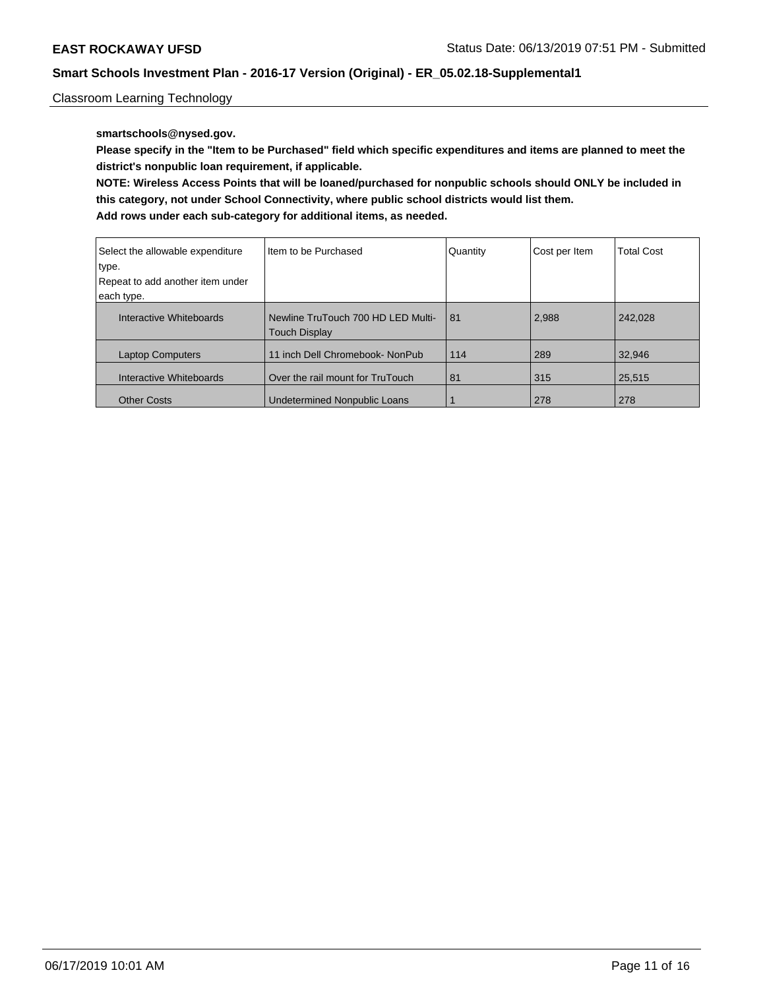Classroom Learning Technology

### **smartschools@nysed.gov.**

**Please specify in the "Item to be Purchased" field which specific expenditures and items are planned to meet the district's nonpublic loan requirement, if applicable.**

**NOTE: Wireless Access Points that will be loaned/purchased for nonpublic schools should ONLY be included in this category, not under School Connectivity, where public school districts would list them. Add rows under each sub-category for additional items, as needed.**

| Select the allowable expenditure<br>type.<br>Repeat to add another item under<br>each type. | Iltem to be Purchased                                      | Quantity | Cost per Item | <b>Total Cost</b> |
|---------------------------------------------------------------------------------------------|------------------------------------------------------------|----------|---------------|-------------------|
| Interactive Whiteboards                                                                     | Newline TruTouch 700 HD LED Multi-<br><b>Touch Display</b> | 81       | 2,988         | 242.028           |
| <b>Laptop Computers</b>                                                                     | 11 inch Dell Chromebook- NonPub                            | 114      | 289           | 32.946            |
| Interactive Whiteboards                                                                     | Over the rail mount for TruTouch                           | 81       | 315           | 25,515            |
| <b>Other Costs</b>                                                                          | <b>Undetermined Nonpublic Loans</b>                        |          | 278           | 278               |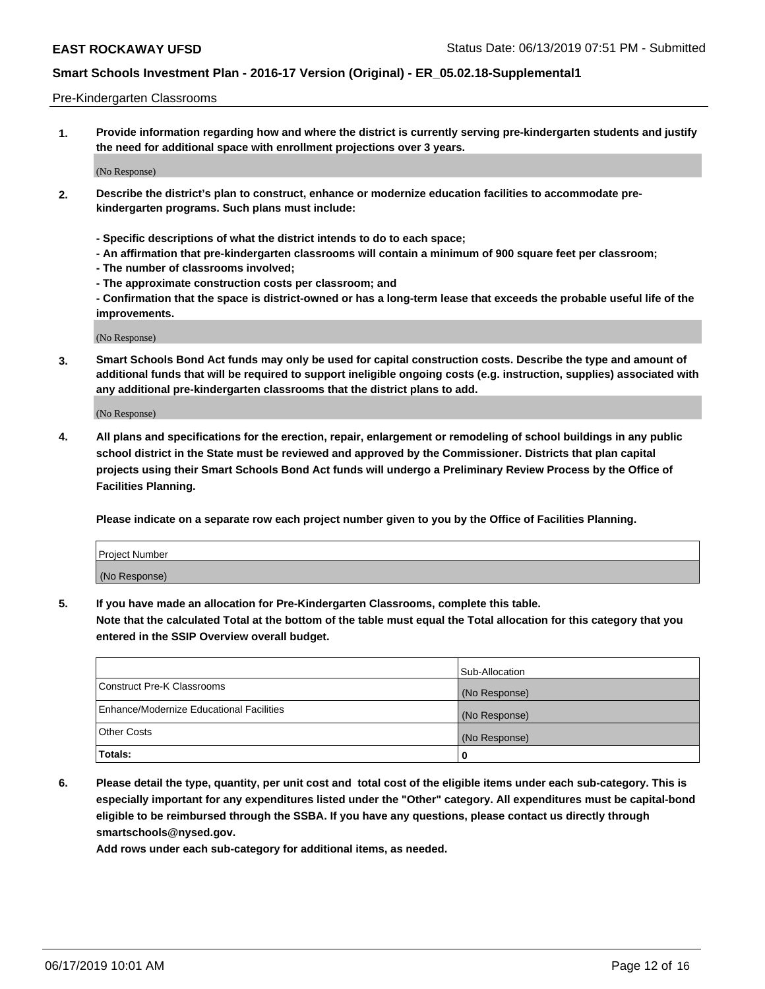#### Pre-Kindergarten Classrooms

**1. Provide information regarding how and where the district is currently serving pre-kindergarten students and justify the need for additional space with enrollment projections over 3 years.**

(No Response)

- **2. Describe the district's plan to construct, enhance or modernize education facilities to accommodate prekindergarten programs. Such plans must include:**
	- **Specific descriptions of what the district intends to do to each space;**
	- **An affirmation that pre-kindergarten classrooms will contain a minimum of 900 square feet per classroom;**
	- **The number of classrooms involved;**
	- **The approximate construction costs per classroom; and**
	- **Confirmation that the space is district-owned or has a long-term lease that exceeds the probable useful life of the improvements.**

(No Response)

**3. Smart Schools Bond Act funds may only be used for capital construction costs. Describe the type and amount of additional funds that will be required to support ineligible ongoing costs (e.g. instruction, supplies) associated with any additional pre-kindergarten classrooms that the district plans to add.**

(No Response)

**4. All plans and specifications for the erection, repair, enlargement or remodeling of school buildings in any public school district in the State must be reviewed and approved by the Commissioner. Districts that plan capital projects using their Smart Schools Bond Act funds will undergo a Preliminary Review Process by the Office of Facilities Planning.**

**Please indicate on a separate row each project number given to you by the Office of Facilities Planning.**

| Project Number |  |
|----------------|--|
| (No Response)  |  |
|                |  |

**5. If you have made an allocation for Pre-Kindergarten Classrooms, complete this table.**

**Note that the calculated Total at the bottom of the table must equal the Total allocation for this category that you entered in the SSIP Overview overall budget.**

|                                          | Sub-Allocation |
|------------------------------------------|----------------|
| Construct Pre-K Classrooms               | (No Response)  |
| Enhance/Modernize Educational Facilities | (No Response)  |
| <b>Other Costs</b>                       | (No Response)  |
| Totals:                                  | 0              |

**6. Please detail the type, quantity, per unit cost and total cost of the eligible items under each sub-category. This is especially important for any expenditures listed under the "Other" category. All expenditures must be capital-bond eligible to be reimbursed through the SSBA. If you have any questions, please contact us directly through smartschools@nysed.gov.**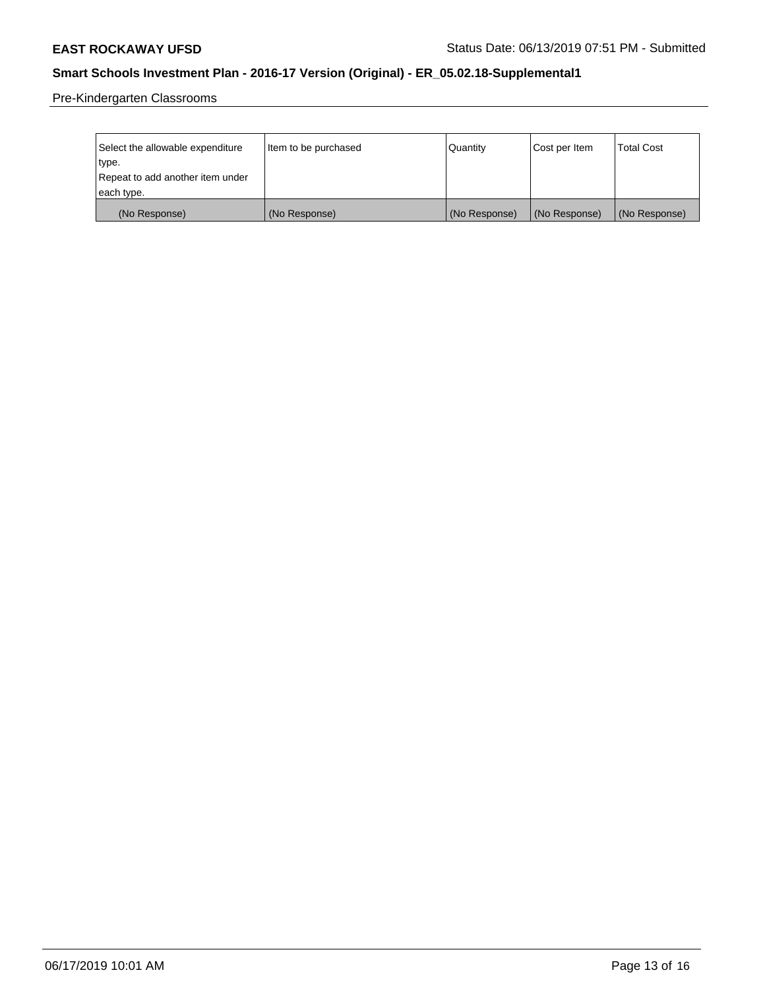Pre-Kindergarten Classrooms

| Select the allowable expenditure | Item to be purchased | Quantity      | Cost per Item | <b>Total Cost</b> |
|----------------------------------|----------------------|---------------|---------------|-------------------|
| type.                            |                      |               |               |                   |
| Repeat to add another item under |                      |               |               |                   |
| each type.                       |                      |               |               |                   |
| (No Response)                    | (No Response)        | (No Response) | (No Response) | (No Response)     |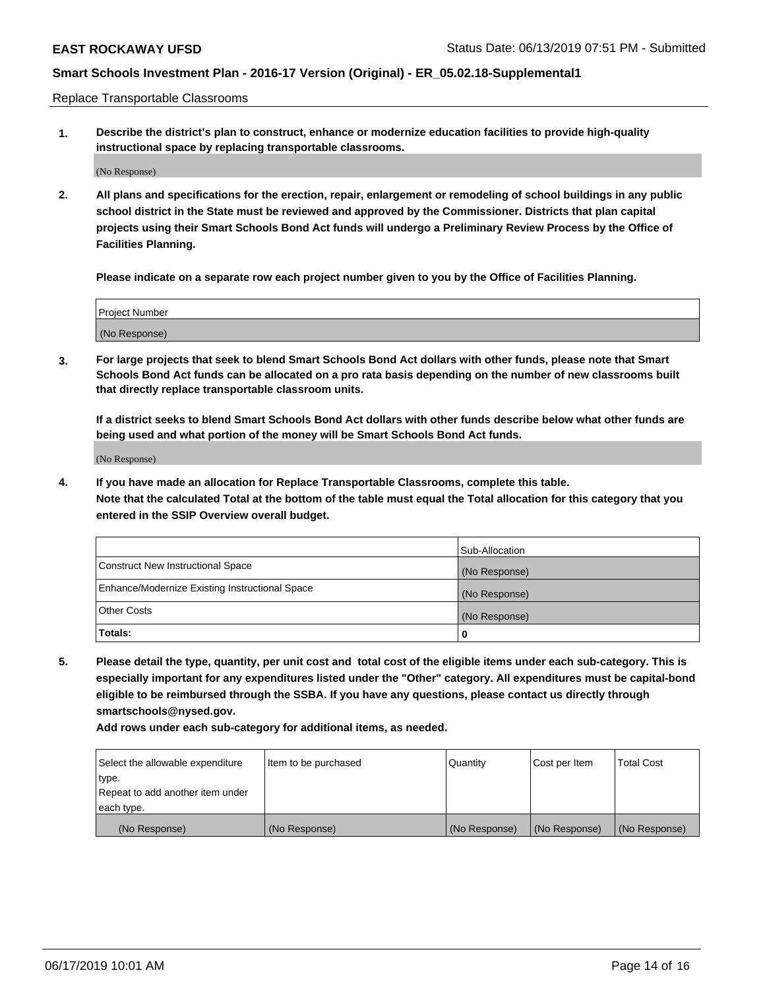Replace Transportable Classrooms

**1. Describe the district's plan to construct, enhance or modernize education facilities to provide high-quality instructional space by replacing transportable classrooms.**

(No Response)

**2. All plans and specifications for the erection, repair, enlargement or remodeling of school buildings in any public school district in the State must be reviewed and approved by the Commissioner. Districts that plan capital projects using their Smart Schools Bond Act funds will undergo a Preliminary Review Process by the Office of Facilities Planning.**

**Please indicate on a separate row each project number given to you by the Office of Facilities Planning.**

| Project Number |  |
|----------------|--|
|                |  |
|                |  |
|                |  |
|                |  |
| (No Response)  |  |
|                |  |
|                |  |
|                |  |

**3. For large projects that seek to blend Smart Schools Bond Act dollars with other funds, please note that Smart Schools Bond Act funds can be allocated on a pro rata basis depending on the number of new classrooms built that directly replace transportable classroom units.**

**If a district seeks to blend Smart Schools Bond Act dollars with other funds describe below what other funds are being used and what portion of the money will be Smart Schools Bond Act funds.**

(No Response)

**4. If you have made an allocation for Replace Transportable Classrooms, complete this table. Note that the calculated Total at the bottom of the table must equal the Total allocation for this category that you entered in the SSIP Overview overall budget.**

|                                                | Sub-Allocation |
|------------------------------------------------|----------------|
| Construct New Instructional Space              | (No Response)  |
| Enhance/Modernize Existing Instructional Space | (No Response)  |
| <b>Other Costs</b>                             | (No Response)  |
| Totals:                                        | 0              |

**5. Please detail the type, quantity, per unit cost and total cost of the eligible items under each sub-category. This is especially important for any expenditures listed under the "Other" category. All expenditures must be capital-bond eligible to be reimbursed through the SSBA. If you have any questions, please contact us directly through smartschools@nysed.gov.**

| Select the allowable expenditure | Item to be purchased | l Quantitv    | Cost per Item | <b>Total Cost</b> |
|----------------------------------|----------------------|---------------|---------------|-------------------|
| type.                            |                      |               |               |                   |
| Repeat to add another item under |                      |               |               |                   |
| each type.                       |                      |               |               |                   |
| (No Response)                    | (No Response)        | (No Response) | (No Response) | (No Response)     |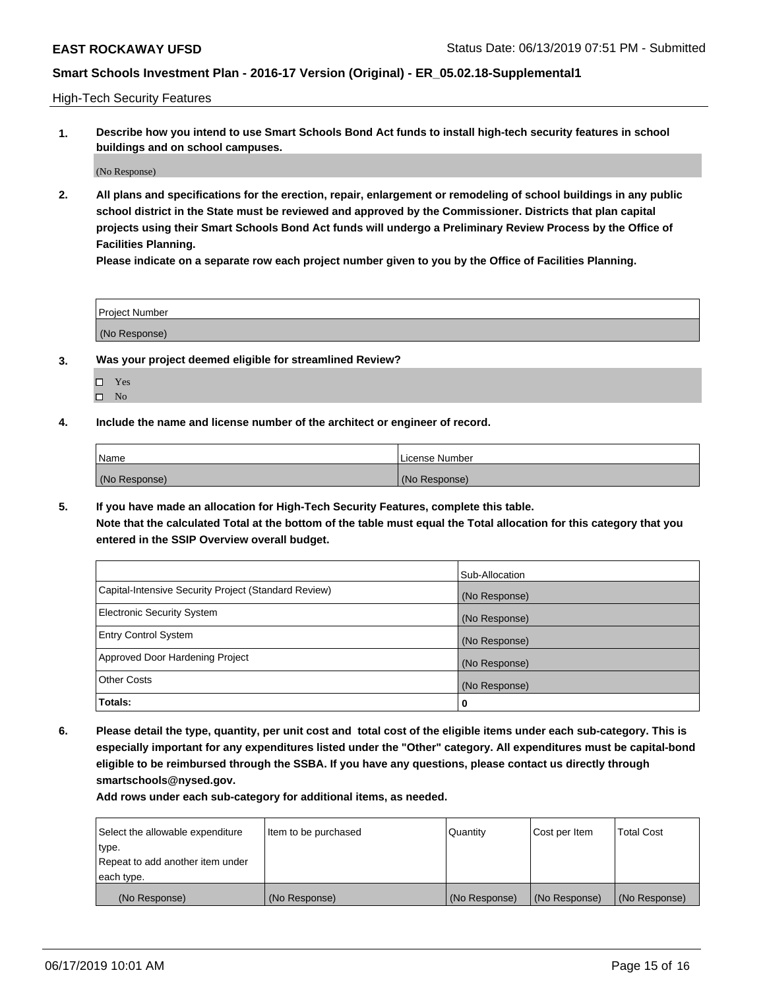High-Tech Security Features

**1. Describe how you intend to use Smart Schools Bond Act funds to install high-tech security features in school buildings and on school campuses.**

(No Response)

**2. All plans and specifications for the erection, repair, enlargement or remodeling of school buildings in any public school district in the State must be reviewed and approved by the Commissioner. Districts that plan capital projects using their Smart Schools Bond Act funds will undergo a Preliminary Review Process by the Office of Facilities Planning.** 

**Please indicate on a separate row each project number given to you by the Office of Facilities Planning.**

| <b>Project Number</b> |  |
|-----------------------|--|
| (No Response)         |  |

- **3. Was your project deemed eligible for streamlined Review?**
	- Yes
	- $\square$  No
- **4. Include the name and license number of the architect or engineer of record.**

| <b>Name</b>   | License Number |
|---------------|----------------|
| (No Response) | (No Response)  |

**5. If you have made an allocation for High-Tech Security Features, complete this table.**

**Note that the calculated Total at the bottom of the table must equal the Total allocation for this category that you entered in the SSIP Overview overall budget.**

|                                                      | Sub-Allocation |
|------------------------------------------------------|----------------|
| Capital-Intensive Security Project (Standard Review) | (No Response)  |
| <b>Electronic Security System</b>                    | (No Response)  |
| <b>Entry Control System</b>                          | (No Response)  |
| Approved Door Hardening Project                      | (No Response)  |
| <b>Other Costs</b>                                   | (No Response)  |
| Totals:                                              | 0              |

**6. Please detail the type, quantity, per unit cost and total cost of the eligible items under each sub-category. This is especially important for any expenditures listed under the "Other" category. All expenditures must be capital-bond eligible to be reimbursed through the SSBA. If you have any questions, please contact us directly through smartschools@nysed.gov.**

| Select the allowable expenditure | Item to be purchased | Quantity      | Cost per Item | <b>Total Cost</b> |
|----------------------------------|----------------------|---------------|---------------|-------------------|
| type.                            |                      |               |               |                   |
| Repeat to add another item under |                      |               |               |                   |
| each type.                       |                      |               |               |                   |
| (No Response)                    | (No Response)        | (No Response) | (No Response) | (No Response)     |